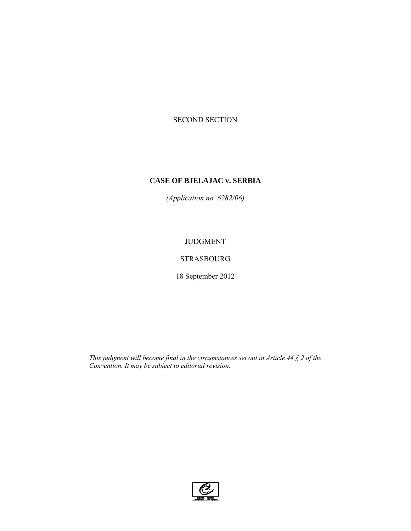# SECOND SECTION

# **CASE OF BJELAJAC v. SERBIA**

*(Application no. 6282/06)* 

# JUDGMENT

# STRASBOURG

18 September 2012

*This judgment will become final in the circumstances set out in Article 44 § 2 of the Convention. It may be subject to editorial revision.*

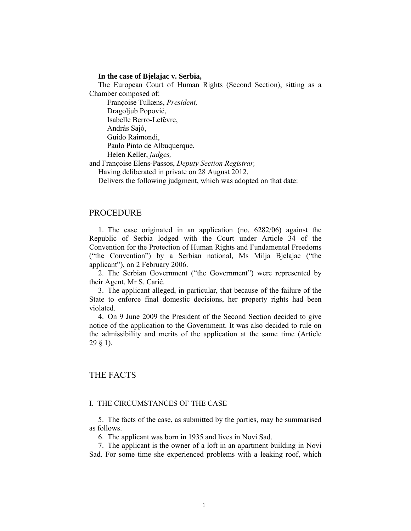### **In the case of Bjelajac v. Serbia,**

The European Court of Human Rights (Second Section), sitting as a Chamber composed of:

 Françoise Tulkens, *President,*  Dragoljub Popović, Isabelle Berro-Lefèvre, András Sajó, Guido Raimondi,

Paulo Pinto de Albuquerque,

Helen Keller, *judges,*

and Françoise Elens-Passos, *Deputy Section Registrar,*

Having deliberated in private on 28 August 2012,

Delivers the following judgment, which was adopted on that date:

## PROCEDURE

1. The case originated in an application (no. 6282/06) against the Republic of Serbia lodged with the Court under Article 34 of the Convention for the Protection of Human Rights and Fundamental Freedoms ("the Convention") by a Serbian national, Ms Milja Bjelajac ("the applicant"), on 2 February 2006.

2. The Serbian Government ("the Government") were represented by their Agent, Mr S. Carić.

3. The applicant alleged, in particular, that because of the failure of the State to enforce final domestic decisions, her property rights had been violated.

4. On 9 June 2009 the President of the Second Section decided to give notice of the application to the Government. It was also decided to rule on the admissibility and merits of the application at the same time (Article 29 § 1).

## THE FACTS

### I. THE CIRCUMSTANCES OF THE CASE

5. The facts of the case, as submitted by the parties, may be summarised as follows.

6. The applicant was born in 1935 and lives in Novi Sad.

7. The applicant is the owner of a loft in an apartment building in Novi Sad. For some time she experienced problems with a leaking roof, which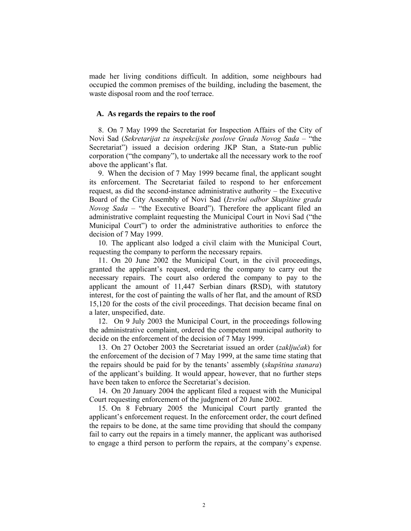made her living conditions difficult. In addition, some neighbours had occupied the common premises of the building, including the basement, the waste disposal room and the roof terrace.

### **A. As regards the repairs to the roof**

8. On 7 May 1999 the Secretariat for Inspection Affairs of the City of Novi Sad (*Sekretarijat za inspekcijske poslove Grada Novog Sada* – "the Secretariat") issued a decision ordering JKP Stan, a State-run public corporation ("the company"), to undertake all the necessary work to the roof above the applicant's flat.

9. When the decision of 7 May 1999 became final, the applicant sought its enforcement. The Secretariat failed to respond to her enforcement request, as did the second-instance administrative authority – the Executive Board of the City Assembly of Novi Sad (*Izvršni odbor Skupštine grada Novog Sada* – "the Executive Board"). Therefore the applicant filed an administrative complaint requesting the Municipal Court in Novi Sad ("the Municipal Court") to order the administrative authorities to enforce the decision of 7 May 1999.

10. The applicant also lodged a civil claim with the Municipal Court, requesting the company to perform the necessary repairs.

11. On 20 June 2002 the Municipal Court, in the civil proceedings, granted the applicant's request, ordering the company to carry out the necessary repairs. The court also ordered the company to pay to the applicant the amount of 11,447 Serbian dinars **(**RSD), with statutory interest, for the cost of painting the walls of her flat, and the amount of RSD 15,120 for the costs of the civil proceedings. That decision became final on a later, unspecified, date.

12. On 9 July 2003 the Municipal Court, in the proceedings following the administrative complaint, ordered the competent municipal authority to decide on the enforcement of the decision of 7 May 1999.

13. On 27 October 2003 the Secretariat issued an order (*zaključak*) for the enforcement of the decision of 7 May 1999, at the same time stating that the repairs should be paid for by the tenants' assembly (*skupština stanara*) of the applicant's building. It would appear, however, that no further steps have been taken to enforce the Secretariat's decision.

14. On 20 January 2004 the applicant filed a request with the Municipal Court requesting enforcement of the judgment of 20 June 2002.

15. On 8 February 2005 the Municipal Court partly granted the applicant's enforcement request. In the enforcement order, the court defined the repairs to be done, at the same time providing that should the company fail to carry out the repairs in a timely manner, the applicant was authorised to engage a third person to perform the repairs, at the company's expense.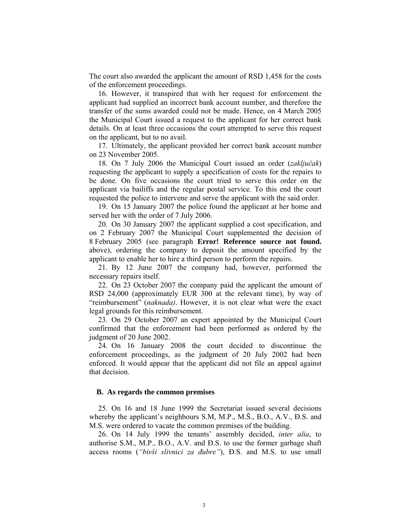The court also awarded the applicant the amount of RSD 1,458 for the costs of the enforcement proceedings.

16. However, it transpired that with her request for enforcement the applicant had supplied an incorrect bank account number, and therefore the transfer of the sums awarded could not be made. Hence, on 4 March 2005 the Municipal Court issued a request to the applicant for her correct bank details. On at least three occasions the court attempted to serve this request on the applicant, but to no avail.

17. Ultimately, the applicant provided her correct bank account number on 23 November 2005.

18. On 7 July 2006 the Municipal Court issued an order (*zaključak*) requesting the applicant to supply a specification of costs for the repairs to be done. On five occasions the court tried to serve this order on the applicant via bailiffs and the regular postal service. To this end the court requested the police to intervene and serve the applicant with the said order.

19. On 15 January 2007 the police found the applicant at her home and served her with the order of 7 July 2006.

20. On 30 January 2007 the applicant supplied a cost specification, and on 2 February 2007 the Municipal Court supplemented the decision of 8 February 2005 (see paragraph **Error! Reference source not found.** above), ordering the company to deposit the amount specified by the applicant to enable her to hire a third person to perform the repairs.

21. By 12 June 2007 the company had, however, performed the necessary repairs itself.

22. On 23 October 2007 the company paid the applicant the amount of RSD 24,000 (approximately EUR 300 at the relevant time), by way of "reimbursement" (*naknada)*. However, it is not clear what were the exact legal grounds for this reimbursement.

23. On 29 October 2007 an expert appointed by the Municipal Court confirmed that the enforcement had been performed as ordered by the judgment of 20 June 2002.

24. On 16 January 2008 the court decided to discontinue the enforcement proceedings, as the judgment of 20 July 2002 had been enforced. It would appear that the applicant did not file an appeal against that decision.

#### **B. As regards the common premises**

25. On 16 and 18 June 1999 the Secretariat issued several decisions whereby the applicant's neighbours S.M, M.P., M.Š., B.O., A.V., Đ.S. and M.S. were ordered to vacate the common premises of the building.

26. On 14 July 1999 the tenants' assembly decided, *inter alia*, to authorise S.M., M.P., B.O., A.V. and Đ.S. to use the former garbage shaft access rooms (*"bivši slivnici za đubre"*), Đ.S. and M.S. to use small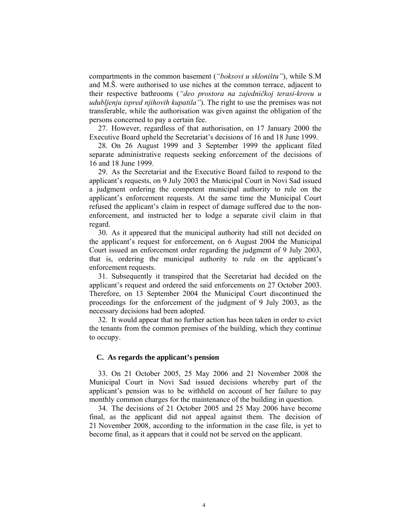compartments in the common basement (*"boksovi u skloništu"*), while S.M and M.Š. were authorised to use niches at the common terrace, adjacent to their respective bathrooms (*"deo prostora na zajedničkoj terasi-krovu u udubljenju ispred njihovih kupatila"*). The right to use the premises was not transferable, while the authorisation was given against the obligation of the persons concerned to pay a certain fee.

27. However, regardless of that authorisation, on 17 January 2000 the Executive Board upheld the Secretariat's decisions of 16 and 18 June 1999.

28. On 26 August 1999 and 3 September 1999 the applicant filed separate administrative requests seeking enforcement of the decisions of 16 and 18 June 1999.

29. As the Secretariat and the Executive Board failed to respond to the applicant's requests, on 9 July 2003 the Municipal Court in Novi Sad issued a judgment ordering the competent municipal authority to rule on the applicant's enforcement requests. At the same time the Municipal Court refused the applicant's claim in respect of damage suffered due to the nonenforcement, and instructed her to lodge a separate civil claim in that regard.

30. As it appeared that the municipal authority had still not decided on the applicant's request for enforcement, on 6 August 2004 the Municipal Court issued an enforcement order regarding the judgment of 9 July 2003, that is, ordering the municipal authority to rule on the applicant's enforcement requests.

31. Subsequently it transpired that the Secretariat had decided on the applicant's request and ordered the said enforcements on 27 October 2003. Therefore, on 13 September 2004 the Municipal Court discontinued the proceedings for the enforcement of the judgment of 9 July 2003, as the necessary decisions had been adopted.

32. It would appear that no further action has been taken in order to evict the tenants from the common premises of the building, which they continue to occupy.

#### **C. As regards the applicant's pension**

33. On 21 October 2005, 25 May 2006 and 21 November 2008 the Municipal Court in Novi Sad issued decisions whereby part of the applicant's pension was to be withheld on account of her failure to pay monthly common charges for the maintenance of the building in question.

34. The decisions of 21 October 2005 and 25 May 2006 have become final, as the applicant did not appeal against them. The decision of 21 November 2008, according to the information in the case file, is yet to become final, as it appears that it could not be served on the applicant.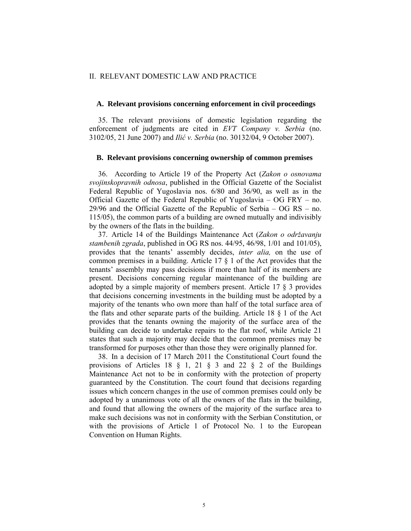#### II. RELEVANT DOMESTIC LAW AND PRACTICE

#### **A. Relevant provisions concerning enforcement in civil proceedings**

35. The relevant provisions of domestic legislation regarding the enforcement of judgments are cited in *EVT Company v. Serbia* (no. 3102/05, 21 June 2007) and *Ilić v. Serbia* (no. 30132/04, 9 October 2007).

#### **B. Relevant provisions concerning ownership of common premises**

36. According to Article 19 of the Property Act (*Zakon o osnovama svojinskopravnih odnosa*, published in the Official Gazette of the Socialist Federal Republic of Yugoslavia nos. 6/80 and 36/90, as well as in the Official Gazette of the Federal Republic of Yugoslavia – OG FRY – no. 29/96 and the Official Gazette of the Republic of Serbia – OG RS – no. 115/05), the common parts of a building are owned mutually and indivisibly by the owners of the flats in the building.

37. Article 14 of the Buildings Maintenance Act (*Zakon o održavanju stambenih zgrada*, published in OG RS nos. 44/95, 46/98, 1/01 and 101/05), provides that the tenants' assembly decides, *inter alia,* on the use of common premises in a building. Article 17 § 1 of the Act provides that the tenants' assembly may pass decisions if more than half of its members are present. Decisions concerning regular maintenance of the building are adopted by a simple majority of members present. Article 17 § 3 provides that decisions concerning investments in the building must be adopted by a majority of the tenants who own more than half of the total surface area of the flats and other separate parts of the building. Article 18 § 1 of the Act provides that the tenants owning the majority of the surface area of the building can decide to undertake repairs to the flat roof, while Article 21 states that such a majority may decide that the common premises may be transformed for purposes other than those they were originally planned for.

38. In a decision of 17 March 2011 the Constitutional Court found the provisions of Articles 18  $\S$  1, 21  $\S$  3 and 22  $\S$  2 of the Buildings Maintenance Act not to be in conformity with the protection of property guaranteed by the Constitution. The court found that decisions regarding issues which concern changes in the use of common premises could only be adopted by a unanimous vote of all the owners of the flats in the building, and found that allowing the owners of the majority of the surface area to make such decisions was not in conformity with the Serbian Constitution, or with the provisions of Article 1 of Protocol No. 1 to the European Convention on Human Rights.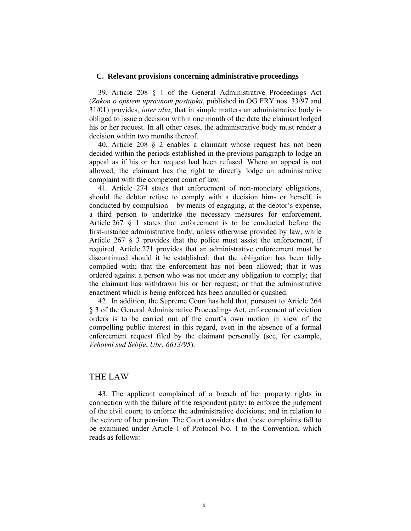#### **C. Relevant provisions concerning administrative proceedings**

39. Article 208 § 1 of the General Administrative Proceedings Act (*Zakon o opštem upravnom postupku*, published in OG FRY nos. 33/97 and 31/01) provides, *inter alia*, that in simple matters an administrative body is obliged to issue a decision within one month of the date the claimant lodged his or her request. In all other cases, the administrative body must render a decision within two months thereof.

40. Article 208 § 2 enables a claimant whose request has not been decided within the periods established in the previous paragraph to lodge an appeal as if his or her request had been refused. Where an appeal is not allowed, the claimant has the right to directly lodge an administrative complaint with the competent court of law.

41. Article 274 states that enforcement of non-monetary obligations, should the debtor refuse to comply with a decision him- or herself, is conducted by compulsion – by means of engaging, at the debtor's expense, a third person to undertake the necessary measures for enforcement. Article 267 § 1 states that enforcement is to be conducted before the first-instance administrative body, unless otherwise provided by law, while Article 267 § 3 provides that the police must assist the enforcement, if required. Article 271 provides that an administrative enforcement must be discontinued should it be established: that the obligation has been fully complied with; that the enforcement has not been allowed; that it was ordered against a person who was not under any obligation to comply; that the claimant has withdrawn his or her request; or that the administrative enactment which is being enforced has been annulled or quashed.

42. In addition, the Supreme Court has held that, pursuant to Article 264 § 3 of the General Administrative Proceedings Act, enforcement of eviction orders is to be carried out of the court's own motion in view of the compelling public interest in this regard, even in the absence of a formal enforcement request filed by the claimant personally (see, for example, *Vrhovni sud Srbije*, *Ubr. 6613/95*).

## THE LAW

43. The applicant complained of a breach of her property rights in connection with the failure of the respondent party: to enforce the judgment of the civil court; to enforce the administrative decisions; and in relation to the seizure of her pension. The Court considers that these complaints fall to be examined under Article 1 of Protocol No. 1 to the Convention, which reads as follows: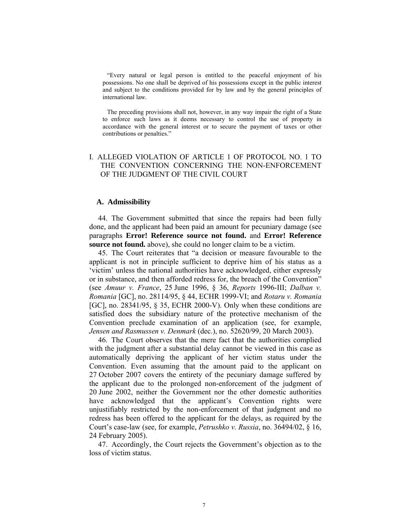"Every natural or legal person is entitled to the peaceful enjoyment of his possessions. No one shall be deprived of his possessions except in the public interest and subject to the conditions provided for by law and by the general principles of international law.

The preceding provisions shall not, however, in any way impair the right of a State to enforce such laws as it deems necessary to control the use of property in accordance with the general interest or to secure the payment of taxes or other contributions or penalties."

## I. ALLEGED VIOLATION OF ARTICLE 1 OF PROTOCOL NO. 1 TO THE CONVENTION CONCERNING THE NON-ENFORCEMENT OF THE JUDGMENT OF THE CIVIL COURT

### **A. Admissibility**

44. The Government submitted that since the repairs had been fully done, and the applicant had been paid an amount for pecuniary damage (see paragraphs **Error! Reference source not found.** and **Error! Reference source not found.** above), she could no longer claim to be a victim.

45. The Court reiterates that "a decision or measure favourable to the applicant is not in principle sufficient to deprive him of his status as a 'victim' unless the national authorities have acknowledged, either expressly or in substance, and then afforded redress for, the breach of the Convention" (see *Amuur v. France*, 25 June 1996, § 36, *Reports* 1996-III; *Dalban v. Romania* [GC], no. 28114/95, § 44, ECHR 1999-VI; and *Rotaru v. Romania* [GC], no. 28341/95, § 35, ECHR 2000-V). Only when these conditions are satisfied does the subsidiary nature of the protective mechanism of the Convention preclude examination of an application (see, for example, *Jensen and Rasmussen v. Denmark* (dec.), no. 52620/99, 20 March 2003).

46. The Court observes that the mere fact that the authorities complied with the judgment after a substantial delay cannot be viewed in this case as automatically depriving the applicant of her victim status under the Convention. Even assuming that the amount paid to the applicant on 27 October 2007 covers the entirety of the pecuniary damage suffered by the applicant due to the prolonged non-enforcement of the judgment of 20 June 2002, neither the Government nor the other domestic authorities have acknowledged that the applicant's Convention rights were unjustifiably restricted by the non-enforcement of that judgment and no redress has been offered to the applicant for the delays, as required by the Court's case-law (see, for example, *Petrushko v. Russia*, no. 36494/02, § 16, 24 February 2005).

47. Accordingly, the Court rejects the Government's objection as to the loss of victim status.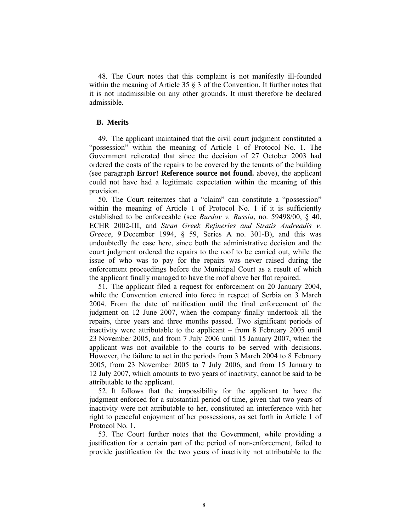48. The Court notes that this complaint is not manifestly ill-founded within the meaning of Article 35 § 3 of the Convention. It further notes that it is not inadmissible on any other grounds. It must therefore be declared admissible.

### **B. Merits**

49. The applicant maintained that the civil court judgment constituted a "possession" within the meaning of Article 1 of Protocol No. 1. The Government reiterated that since the decision of 27 October 2003 had ordered the costs of the repairs to be covered by the tenants of the building (see paragraph **Error! Reference source not found.** above), the applicant could not have had a legitimate expectation within the meaning of this provision.

50. The Court reiterates that a "claim" can constitute a "possession" within the meaning of Article 1 of Protocol No. 1 if it is sufficiently established to be enforceable (see *Burdov v. Russia*, no. 59498/00, § 40, ECHR 2002-III, and *Stran Greek Refineries and Stratis Andreadis v. Greece*, 9 December 1994, § 59, Series A no. 301-B), and this was undoubtedly the case here, since both the administrative decision and the court judgment ordered the repairs to the roof to be carried out, while the issue of who was to pay for the repairs was never raised during the enforcement proceedings before the Municipal Court as a result of which the applicant finally managed to have the roof above her flat repaired.

51. The applicant filed a request for enforcement on 20 January 2004, while the Convention entered into force in respect of Serbia on 3 March 2004. From the date of ratification until the final enforcement of the judgment on 12 June 2007, when the company finally undertook all the repairs, three years and three months passed. Two significant periods of inactivity were attributable to the applicant – from 8 February 2005 until 23 November 2005, and from 7 July 2006 until 15 January 2007, when the applicant was not available to the courts to be served with decisions. However, the failure to act in the periods from 3 March 2004 to 8 February 2005, from 23 November 2005 to 7 July 2006, and from 15 January to 12 July 2007, which amounts to two years of inactivity, cannot be said to be attributable to the applicant.

52. It follows that the impossibility for the applicant to have the judgment enforced for a substantial period of time, given that two years of inactivity were not attributable to her, constituted an interference with her right to peaceful enjoyment of her possessions, as set forth in Article 1 of Protocol No. 1.

53. The Court further notes that the Government, while providing a justification for a certain part of the period of non-enforcement, failed to provide justification for the two years of inactivity not attributable to the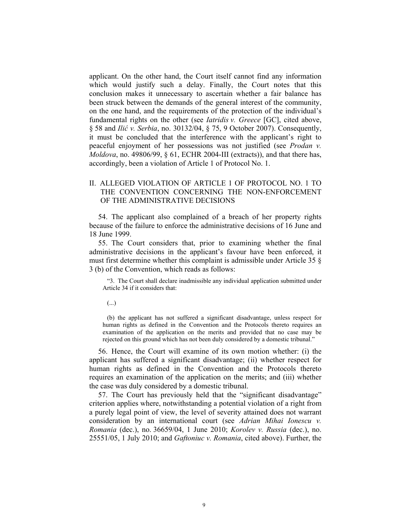applicant. On the other hand, the Court itself cannot find any information which would justify such a delay. Finally, the Court notes that this conclusion makes it unnecessary to ascertain whether a fair balance has been struck between the demands of the general interest of the community, on the one hand, and the requirements of the protection of the individual's fundamental rights on the other (see *Iatridis v. Greece* [GC], cited above, § 58 and *Ilić v. Serbia*, no. 30132/04, § 75, 9 October 2007). Consequently, it must be concluded that the interference with the applicant's right to peaceful enjoyment of her possessions was not justified (see *Prodan v. Moldova*, no. 49806/99, § 61, ECHR 2004-III (extracts)), and that there has, accordingly, been a violation of Article 1 of Protocol No. 1.

## II. ALLEGED VIOLATION OF ARTICLE 1 OF PROTOCOL NO. 1 TO THE CONVENTION CONCERNING THE NON-ENFORCEMENT OF THE ADMINISTRATIVE DECISIONS

54. The applicant also complained of a breach of her property rights because of the failure to enforce the administrative decisions of 16 June and 18 June 1999.

55. The Court considers that, prior to examining whether the final administrative decisions in the applicant's favour have been enforced, it must first determine whether this complaint is admissible under Article 35 § 3 (b) of the Convention, which reads as follows:

"3. The Court shall declare inadmissible any individual application submitted under Article 34 if it considers that:

(...)

(b) the applicant has not suffered a significant disadvantage, unless respect for human rights as defined in the Convention and the Protocols thereto requires an examination of the application on the merits and provided that no case may be rejected on this ground which has not been duly considered by a domestic tribunal."

56. Hence, the Court will examine of its own motion whether: (i) the applicant has suffered a significant disadvantage; (ii) whether respect for human rights as defined in the Convention and the Protocols thereto requires an examination of the application on the merits; and (iii) whether the case was duly considered by a domestic tribunal.

57. The Court has previously held that the "significant disadvantage" criterion applies where, notwithstanding a potential violation of a right from a purely legal point of view, the level of severity attained does not warrant consideration by an international court (see *Adrian Mihai Ionescu v. Romania* (dec.), no. 36659/04, 1 June 2010; *Korolev v. Russia* (dec.), no. 25551/05, 1 July 2010; and *Gaftoniuc v. Romania*, cited above). Further, the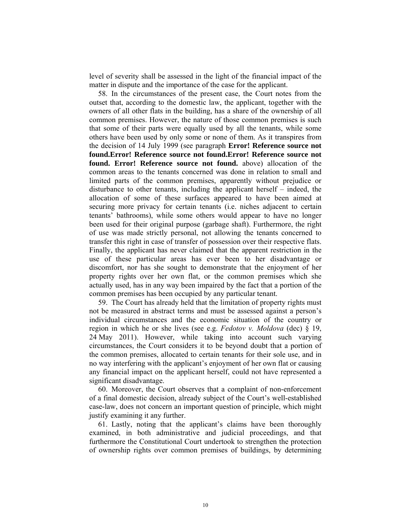level of severity shall be assessed in the light of the financial impact of the matter in dispute and the importance of the case for the applicant.

58. In the circumstances of the present case, the Court notes from the outset that, according to the domestic law, the applicant, together with the owners of all other flats in the building, has a share of the ownership of all common premises. However, the nature of those common premises is such that some of their parts were equally used by all the tenants, while some others have been used by only some or none of them. As it transpires from the decision of 14 July 1999 (see paragraph **Error! Reference source not found.Error! Reference source not found.Error! Reference source not found. Error! Reference source not found.** above) allocation of the common areas to the tenants concerned was done in relation to small and limited parts of the common premises, apparently without prejudice or disturbance to other tenants, including the applicant herself – indeed, the allocation of some of these surfaces appeared to have been aimed at securing more privacy for certain tenants (i.e. niches adjacent to certain tenants' bathrooms), while some others would appear to have no longer been used for their original purpose (garbage shaft). Furthermore, the right of use was made strictly personal, not allowing the tenants concerned to transfer this right in case of transfer of possession over their respective flats. Finally, the applicant has never claimed that the apparent restriction in the use of these particular areas has ever been to her disadvantage or discomfort, nor has she sought to demonstrate that the enjoyment of her property rights over her own flat, or the common premises which she actually used, has in any way been impaired by the fact that a portion of the common premises has been occupied by any particular tenant.

59. The Court has already held that the limitation of property rights must not be measured in abstract terms and must be assessed against a person's individual circumstances and the economic situation of the country or region in which he or she lives (see e.g. *Fedotov v. Moldova* (dec) § 19, 24 May 2011). However, while taking into account such varying circumstances, the Court considers it to be beyond doubt that a portion of the common premises, allocated to certain tenants for their sole use, and in no way interfering with the applicant's enjoyment of her own flat or causing any financial impact on the applicant herself, could not have represented a significant disadvantage.

60. Moreover, the Court observes that a complaint of non-enforcement of a final domestic decision, already subject of the Court's well-established case-law, does not concern an important question of principle, which might justify examining it any further.

61. Lastly, noting that the applicant's claims have been thoroughly examined, in both administrative and judicial proceedings, and that furthermore the Constitutional Court undertook to strengthen the protection of ownership rights over common premises of buildings, by determining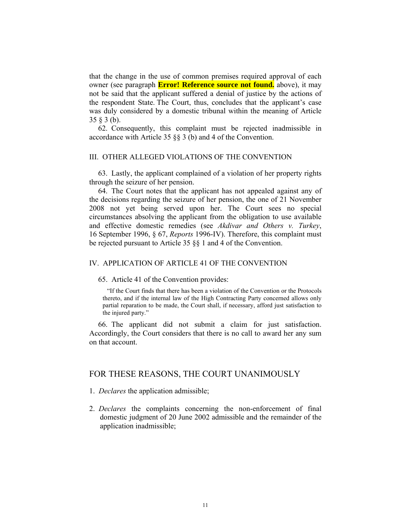that the change in the use of common premises required approval of each owner (see paragraph **Error! Reference source not found.** above), it may not be said that the applicant suffered a denial of justice by the actions of the respondent State. The Court, thus, concludes that the applicant's case was duly considered by a domestic tribunal within the meaning of Article 35 § 3 (b).

62. Consequently, this complaint must be rejected inadmissible in accordance with Article 35 §§ 3 (b) and 4 of the Convention.

## III. OTHER ALLEGED VIOLATIONS OF THE CONVENTION

63. Lastly, the applicant complained of a violation of her property rights through the seizure of her pension.

64. The Court notes that the applicant has not appealed against any of the decisions regarding the seizure of her pension, the one of 21 November 2008 not yet being served upon her. The Court sees no special circumstances absolving the applicant from the obligation to use available and effective domestic remedies (see *Akdivar and Others v. Turkey*, 16 September 1996, § 67, *Reports* 1996-IV). Therefore, this complaint must be rejected pursuant to Article 35 §§ 1 and 4 of the Convention.

## IV. APPLICATION OF ARTICLE 41 OF THE CONVENTION

65. Article 41 of the Convention provides:

"If the Court finds that there has been a violation of the Convention or the Protocols thereto, and if the internal law of the High Contracting Party concerned allows only partial reparation to be made, the Court shall, if necessary, afford just satisfaction to the injured party."

66. The applicant did not submit a claim for just satisfaction. Accordingly, the Court considers that there is no call to award her any sum on that account.

## FOR THESE REASONS, THE COURT UNANIMOUSLY

- 1. *Declares* the application admissible;
- 2. *Declares* the complaints concerning the non-enforcement of final domestic judgment of 20 June 2002 admissible and the remainder of the application inadmissible;